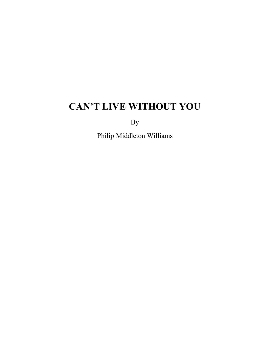By

Philip Middleton Williams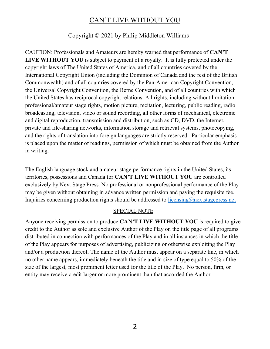#### Copyright © 2021 by Philip Middleton Williams

CAUTION: Professionals and Amateurs are hereby warned that performance of CAN'T **LIVE WITHOUT YOU** is subject to payment of a royalty. It is fully protected under the copyright laws of The United States of America, and of all countries covered by the International Copyright Union (including the Dominion of Canada and the rest of the British Commonwealth) and of all countries covered by the Pan-American Copyright Convention, the Universal Copyright Convention, the Berne Convention, and of all countries with which the United States has reciprocal copyright relations. All rights, including without limitation professional/amateur stage rights, motion picture, recitation, lecturing, public reading, radio broadcasting, television, video or sound recording, all other forms of mechanical, electronic and digital reproduction, transmission and distribution, such as CD, DVD, the Internet, private and file-sharing networks, information storage and retrieval systems, photocopying, and the rights of translation into foreign languages are strictly reserved. Particular emphasis is placed upon the matter of readings, permission of which must be obtained from the Author in writing.

The English language stock and amateur stage performance rights in the United States, its territories, possessions and Canada for **CAN'T LIVE WITHOUT YOU** are controlled exclusively by Next Stage Press. No professional or nonprofessional performance of the Play may be given without obtaining in advance written permission and paying the requisite fee. Inquiries concerning production rights should be addressed to licensing@nextstagepress.net

#### SPECIAL NOTE

Anyone receiving permission to produce CAN'T LIVE WITHOUT YOU is required to give credit to the Author as sole and exclusive Author of the Play on the title page of all programs distributed in connection with performances of the Play and in all instances in which the title of the Play appears for purposes of advertising, publicizing or otherwise exploiting the Play and/or a production thereof. The name of the Author must appear on a separate line, in which no other name appears, immediately beneath the title and in size of type equal to 50% of the size of the largest, most prominent letter used for the title of the Play. No person, firm, or entity may receive credit larger or more prominent than that accorded the Author.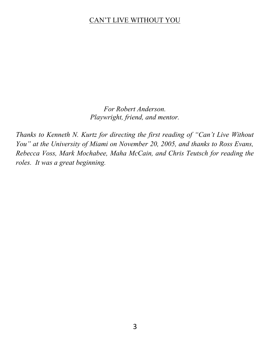*For Robert Anderson. Playwright, friend, and mentor.*

Thanks to Kenneth N. Kurtz for directing the first reading of "Can't Live Without You" at the University of Miami on November 20, 2005, and thanks to Ross Evans, *Rebecca Voss, Mark Mochabee, Maha McCain, and Chris Teutsch for reading the roles. It was a great beginning.*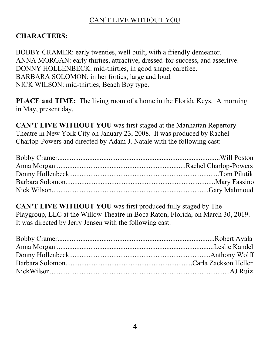#### **CHARACTERS:**

BOBBY CRAMER: early twenties, well built, with a friendly demeanor. ANNA MORGAN: early thirties, attractive, dressed-for-success, and assertive. DONNY HOLLENBECK: mid-thirties, in good shape, carefree. BARBARA SOLOMON: in her forties, large and loud. NICK WILSON: mid-thirties, Beach Boy type.

**PLACE and TIME:** The living room of a home in the Florida Keys. A morning in May, present day.

**CAN'T LIVE WITHOUT YOU** was first staged at the Manhattan Repertory Theatre in New York City on January 23, 2008. It was produced by Rachel Charlop-Powers and directed by Adam J. Natale with the following cast:

**CAN'T LIVE WITHOUT YOU** was first produced fully staged by The Playgroup, LLC at the Willow Theatre in Boca Raton, Florida, on March 30, 2019. It was directed by Jerry Jensen with the following cast: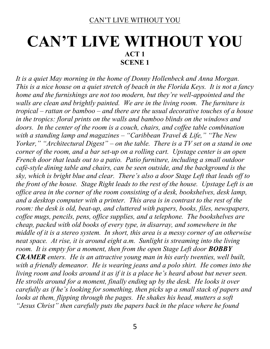## **CAN'T LIVE WITHOUT YOU ACT 1 SCENE 1**

*It is a quiet May morning in the home of Donny Hollenbeck and Anna Morgan. This is a nice house on a quiet stretch of beach in the Florida Keys. It is not a fancy home and the furnishings are not too modern, but they're well-appointed and the walls are clean and brightly painted. We are in the living room. The furniture is tropical ± rattan or bamboo ± and there are the usual decorative touches of a house in the tropics: floral prints on the walls and bamboo blinds on the windows and doors. In the center of the room is a couch, chairs, and coffee table combination with a standing lamp and magazines - "Caribbean Travel & Life," "The New Yorker,*" "Architectural Digest" – on the table. There is a TV set on a stand in one *corner of the room, and a bar set-up on a rolling cart. Upstage center is an open French door that leads out to a patio. Patio furniture, including a small outdoor café-style dining table and chairs, can be seen outside, and the background is the Sky, which is bright blue and clear. There's also a door Stage Left that leads off to the front of the house. Stage Right leads to the rest of the house. Upstage Left is an office area in the corner of the room consisting of a desk, bookshelves, desk lamp, and a desktop computer with a printer. This area is in contrast to the rest of the room: the desk is old, beat-up, and cluttered with papers, books, files, newspapers, coffee mugs, pencils, pens, office supplies, and a telephone. The bookshelves are cheap, packed with old books of every type, in disarray, and somewhere in the middle of it is a stereo system. In short, this area is a messy corner of an otherwise neat space. At rise, it is around eight a.m. Sunlight is streaming into the living room. It is empty for a moment, then from the open Stage Left door BOBBY CRAMER enters. He is an attractive young man in his early twenties, well built,*  with a friendly demeanor. He is wearing jeans and a polo shirt. He comes into the *living room and looks around it as if it is a place he's heard about but never seen. He strolls around for a moment, finally ending up by the desk. He looks it over F* carefully as if he's looking for something, then picks up a small stack of papers and *looks at them, flipping through the pages. He shakes his head, mutters a soft Hesus Christ*" then carefully puts the papers back in the place where he found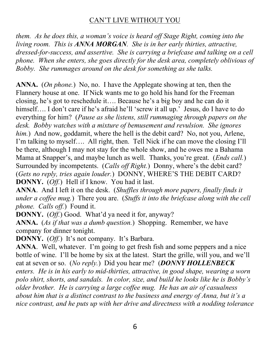*them. As he does this, a woman's voice is heard off Stage Right, coming into the living room. This is ANNA MORGAN. She is in her early thirties, attractive, dressed-for-success, and assertive. She is carrying a briefcase and talking on a cell phone. When she enters, she goes directly for the desk area, completely oblivious of Bobby. She rummages around on the desk for something as she talks.*

**ANNA.** (*On phone.*) No, no. I have the Applegate showing at ten, then the Flannery house at one. If Nick wants me to go hold his hand for the Freeman closing, he's got to reschedule it.... Because he's a big boy and he can do it himself.... I don't care if he's afraid he'll 'screw it all up.' Jesus, do I have to do everything for him? (*Pause as she listens, still rummaging through papers on the desk. Bobby watches with a mixture of bemusement and revulsion. She ignores him.*) And now, goddamit, where the hell is the debit card? No, not you, Arlene, I'm talking to myself.... All right, then. Tell Nick if he can move the closing I'll be there, although I may not stay for the whole show, and he owes me a Bahama Mama at Snapper's, and maybe lunch as well. Thanks, you're great. *(Ends call.)* Surrounded by incompetents. (*Calls off Right*.) Donny, where's the debit card? (Gets no reply, tries again louder.) DONNY, WHERE'S THE DEBIT CARD? **DONNY.** (*Off.*) Hell if I know. You had it last.

**ANNA**. And I left it on the desk. (*Shuffles through more papers, finally finds it under a coffee mug.*) There you are. (*Stuffs it into the briefcase along with the cell phone. Calls off.*) Found it.

**DONNY.** (*Off.*) Good. What'd ya need it for, anyway?

**ANNA.** (*As if that was a dumb question.*) Shopping. Remember, we have company for dinner tonight.

**DONNY.** (*Off.*) It's not company. It's Barbara.

**ANNA**. Well, whatever. I'm going to get fresh fish and some peppers and a nice bottle of wine. I'll be home by six at the latest. Start the grille, will you, and we'll eat at seven or so. (*No reply.*) Did you hear me? (*DONNY HOLLENBECK enters. He is in his early to mid-thirties, attractive, in good shape, wearing a worn polo shirt, shorts, and sandals. In color, size, and build he looks like he is Bobby's older brother. He is carrying a large coffee mug. He has an air of casualness about him that is a distinct contrast to the business and energy of Anna, but it's a nice contrast, and he puts up with her drive and directness with a nodding tolerance*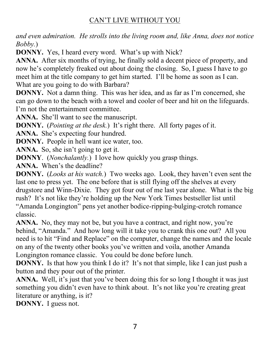*and even admiration. He strolls into the living room and, like Anna, does not notice Bobby.*)

**DONNY.** Yes, I heard every word. What's up with Nick?

**ANNA.** After six months of trying, he finally sold a decent piece of property, and now he's completely freaked out about doing the closing. So, I guess I have to go meet him at the title company to get him started. I'll be home as soon as I can. What are you going to do with Barbara?

**DONNY.** Not a damn thing. This was her idea, and as far as I'm concerned, she can go down to the beach with a towel and cooler of beer and hit on the lifeguards. I'm not the entertainment committee.

**ANNA.** She'll want to see the manuscript.

**DONNY.** (*Pointing at the desk.*) It's right there. All forty pages of it.

**ANNA.** She's expecting four hundred.

**DONNY.** People in hell want ice water, too.

ANNA. So, she isn't going to get it.

**DONNY**. (*Nonchalantly.*) I love how quickly you grasp things.

**ANNA.** When's the deadline?

**DONNY.** (*Looks at his watch.*) Two weeks ago. Look, they haven't even sent the last one to press yet. The one before that is still flying off the shelves at every drugstore and Winn-Dixie. They got four out of me last year alone. What is the big rush? It's not like they're holding up the New York Times bestseller list until "Amanda Longington" pens yet another bodice-ripping-bulging-crotch romance classic.

**ANNA.** No, they may not be, but you have a contract, and right now, you're behind, "Amanda." And how long will it take you to crank this one out? All you need is to hit "Find and Replace" on the computer, change the names and the locale on any of the twenty other books you've written and voila, another Amanda Longington romance classic. You could be done before lunch.

**DONNY.** Is that how you think I do it? It's not that simple, like I can just push a button and they pour out of the printer.

**ANNA.** Well, it's just that you've been doing this for so long I thought it was just something you didn't even have to think about. It's not like you're creating great literature or anything, is it?

**DONNY.** I guess not.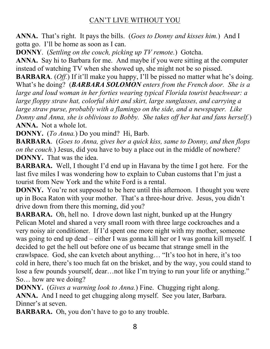**ANNA.** That's right. It pays the bills. (*Goes to Donny and kisses him.*) And I gotta go. I'll be home as soon as I can.

**DONNY**. (*Settling on the couch, picking up TV remote.*) Gotcha.

**ANNA.** Say hi to Barbara for me. And maybe if you were sitting at the computer instead of watching TV when she showed up, she might not be so pissed.

**BARBARA**. (*Off.*) If it'll make you happy, I'll be pissed no matter what he's doing. What's he doing? (**BARBARA SOLOMON** enters from the French door. She is a *large and loud woman in her forties wearing typical Florida tourist beachwear: a large floppy straw hat, colorful shirt and skirt, large sunglasses, and carrying a large straw purse, probably with a flamingo on the side, and a newspaper. Like Donny and Anna, she is oblivious to Bobby. She takes off her hat and fans herself.*) **ANNA.** Not a whole lot.

**DONNY.** (*To Anna.*) Do you mind? Hi, Barb.

**BARBARA**. (*Goes to Anna, gives her a quick kiss, same to Donny, and then flops on the couch.*) Jesus, did you have to buy a place out in the middle of nowhere? **DONNY.** That was the idea.

BARBARA. Well, I thought I'd end up in Havana by the time I got here. For the last five miles I was wondering how to explain to Cuban customs that I'm just a tourist from New York and the white Ford is a rental.

**DONNY.** You're not supposed to be here until this afternoon. I thought you were up in Boca Raton with your mother. That's a three-hour drive. Jesus, you didn't drive down from there this morning, did you?

**BARBARA.** Oh, hell no. I drove down last night, bunked up at the Hungry Pelican Motel and shared a very small room with three large cockroaches and a very noisy air conditioner. If I'd spent one more night with my mother, someone was going to end up dead - either I was gonna kill her or I was gonna kill myself. I decided to get the hell out before one of us became that strange smell in the crawlspace. God, she can kvetch about anything... "It's too hot in here, it's too cold in here, there's too much fat on the brisket, and by the way, you could stand to lose a few pounds yourself, dear... not like I'm trying to run your life or anything." So... how are we doing?

**DONNY.** (*Gives a warning look to Anna.*) Fine. Chugging right along. ANNA. And I need to get chugging along myself. See you later, Barbara. Dinner's at seven.

**BARBARA.** Oh, you don't have to go to any trouble.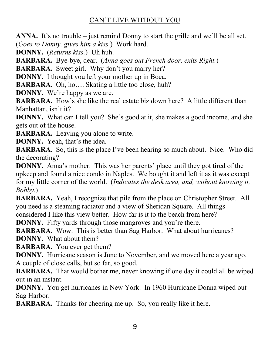**ANNA.** It's no trouble – just remind Donny to start the grille and we'll be all set. (*Goes to Donny, gives him a kiss.*) Work hard.

**DONNY.** (*Returns kiss.*) Uh huh.

**BARBARA.** Bye-bye, dear. (*Anna goes out French door, exits Right.*)

**BARBARA.** Sweet girl. Why don't you marry her?

**DONNY.** I thought you left your mother up in Boca.

**BARBARA.** Oh, ho.... Skating a little too close, huh?

**DONNY.** We're happy as we are.

**BARBARA.** How's she like the real estate biz down here? A little different than Manhattan, isn't it?

**DONNY.** What can I tell you? She's good at it, she makes a good income, and she gets out of the house.

**BARBARA.** Leaving you alone to write.

**DONNY.** Yeah, that's the idea.

**BARBARA.** So, this is the place I've been hearing so much about. Nice. Who did the decorating?

**DONNY.** Anna's mother. This was her parents' place until they got tired of the upkeep and found a nice condo in Naples. We bought it and left it as it was except for my little corner of the world. (*Indicates the desk area, and, without knowing it, Bobby.*)

**BARBARA.** Yeah, I recognize that pile from the place on Christopher Street. All you need is a steaming radiator and a view of Sheridan Square. All things considered I like this view better. How far is it to the beach from here?

**DONNY.** Fifty yards through those mangroves and you're there.

**BARBARA.** Wow. This is better than Sag Harbor. What about hurricanes? **DONNY.** What about them?

**BARBARA.** You ever get them?

**DONNY.** Hurricane season is June to November, and we moved here a year ago. A couple of close calls, but so far, so good.

**BARBARA.** That would bother me, never knowing if one day it could all be wiped out in an instant.

**DONNY.** You get hurricanes in New York. In 1960 Hurricane Donna wiped out Sag Harbor.

**BARBARA.** Thanks for cheering me up. So, you really like it here.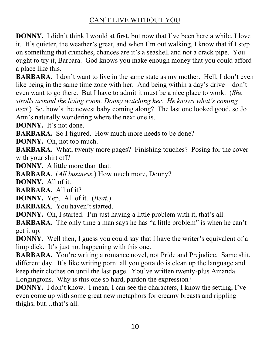**DONNY.** I didn't think I would at first, but now that I've been here a while, I love it. It's quieter, the weather's great, and when I'm out walking, I know that if I step on something that crunches, chances are it's a seashell and not a crack pipe. You ought to try it, Barbara. God knows you make enough money that you could afford a place like this.

**BARBARA.** I don't want to live in the same state as my mother. Hell, I don't even like being in the same time zone with her. And being within a day's drive—don't even want to go there. But I have to admit it must be a nice place to work. (*She strolls around the living room, Donny watching her. He knows what's coming next.*) So, how's the newest baby coming along? The last one looked good, so Jo Ann's naturally wondering where the next one is.

**DONNY.** It's not done.

**BARBARA.** So I figured. How much more needs to be done?

**DONNY.** Oh, not too much.

**BARBARA.** What, twenty more pages? Finishing touches? Posing for the cover with your shirt off?

**DONNY.** A little more than that.

**BARBARA**. (*All business.*) How much more, Donny?

**DONNY.** All of it.

**BARBARA.** All of it?

**DONNY.** Yep. All of it. (*Beat.*)

**BARBARA**. You haven't started.

**DONNY.** Oh, I started. I'm just having a little problem with it, that's all.

**BARBARA.** The only time a man says he has "a little problem" is when he can't get it up.

**DONNY.** Well then, I guess you could say that I have the writer's equivalent of a limp dick. It's just not happening with this one.

**BARBARA.** You're writing a romance novel, not Pride and Prejudice. Same shit, different day. It's like writing porn: all you gotta do is clean up the language and keep their clothes on until the last page. You've written twenty-plus Amanda Longingtons. Why is this one so hard, pardon the expression?

**DONNY.** I don't know. I mean, I can see the characters, I know the setting, I've even come up with some great new metaphors for creamy breasts and rippling thighs, but...that's all.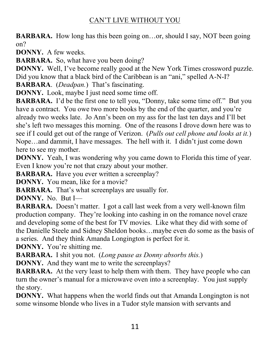**BARBARA.** How long has this been going on...or, should I say, NOT been going on?

**DONNY.** A few weeks.

**BARBARA.** So, what have you been doing?

**DONNY.** Well, I've become really good at the New York Times crossword puzzle. Did you know that a black bird of the Caribbean is an "ani," spelled A-N-I?

**BARBARA**. (*Deadpan*.) That's fascinating.

**DONNY.** Look, maybe I just need some time off.

**BARBARA.** I'd be the first one to tell you, "Donny, take some time off." But you have a contract. You owe two more books by the end of the quarter, and you're already two weeks late. Jo Ann's been on my ass for the last ten days and I'll bet she's left two messages this morning. One of the reasons I drove down here was to see if I could get out of the range of Verizon. (*Pulls out cell phone and looks at it.*) Nope...and dammit, I have messages. The hell with it. I didn't just come down here to see my mother.

**DONNY.** Yeah, I was wondering why you came down to Florida this time of year. Even I know you're not that crazy about your mother.

**BARBARA.** Have you ever written a screenplay?

**DONNY.** You mean, like for a movie?

**BARBARA.** That's what screenplays are usually for.

**DONNY.** No. But I-

**BARBARA.** Doesn't matter. I got a call last week from a very well-known film production company. They're looking into cashing in on the romance novel craze and developing some of the best for TV movies. Like what they did with some of the Danielle Steele and Sidney Sheldon books...maybe even do some as the basis of a series. And they think Amanda Longington is perfect for it.

**DONNY.** You're shitting me.

**BARBARA.** I shit you not. (*Long pause as Donny absorbs this.*)

**DONNY.** And they want me to write the screenplays?

**BARBARA.** At the very least to help them with them. They have people who can turn the owner's manual for a microwave oven into a screenplay. You just supply the story.

**DONNY.** What happens when the world finds out that Amanda Longington is not some winsome blonde who lives in a Tudor style mansion with servants and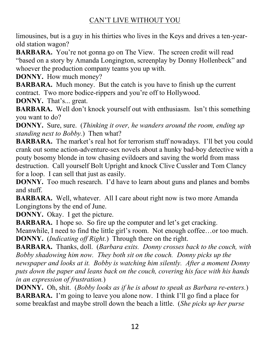limousines, but is a guy in his thirties who lives in the Keys and drives a ten-yearold station wagon?

**BARBARA.** You're not gonna go on The View. The screen credit will read "based on a story by Amanda Longington, screenplay by Donny Hollenbeck" and whoever the production company teams you up with.

**DONNY.** How much money?

**BARBARA.** Much money. But the catch is you have to finish up the current contract. Two more bodice-rippers and you're off to Hollywood.

**DONNY.** That's... great.

**BARBARA.** Well don't knock yourself out with enthusiasm. Isn't this something you want to do?

**DONNY.** Sure, sure. (*Thinking it over, he wanders around the room, ending up standing next to Bobby.*) Then what?

**BARBARA.** The market's real hot for terrorism stuff nowadays. I'll bet you could crank out some action-adventure-sex novels about a hunky bad-boy detective with a pouty bosomy blonde in tow chasing evildoers and saving the world from mass destruction. Call yourself Bolt Upright and knock Clive Cussler and Tom Clancy for a loop. I can sell that just as easily.

**DONNY.** Too much research. I'd have to learn about guns and planes and bombs and stuff.

**BARBARA.** Well, whatever. All I care about right now is two more Amanda Longingtons by the end of June.

**DONNY.** Okay. I get the picture.

**BARBARA.** I hope so. So fire up the computer and let's get cracking.

Meanwhile, I need to find the little girl's room. Not enough coffee...or too much. **DONNY.** (*Indicating off Right.*) Through there on the right.

**BARBARA.** Thanks, doll. (*Barbara exits. Donny crosses back to the couch, with Bobby shadowing him now. They both sit on the couch. Donny picks up the newspaper and looks at it. Bobby is watching him silently. After a moment Donny puts down the paper and leans back on the couch, covering his face with his hands in an expression of frustration.*)

**DONNY.** Oh, shit. (*Bobby looks as if he is about to speak as Barbara re-enters.*) **BARBARA.** I'm going to leave you alone now. I think I'll go find a place for some breakfast and maybe stroll down the beach a little. (*She picks up her purse*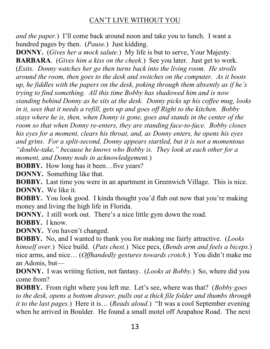*and the paper.*) I'll come back around noon and take you to lunch. I want a hundred pages by then. (*Pause.*) Just kidding.

**DONNY.** (*Gives her a mock salute.*) My life is but to serve, Your Majesty. **BARBARA**. (*Gives him a kiss on the cheek.*) See you later. Just get to work. (*Exits. Donny watches her go then turns back into the living room. He strolls around the room, then goes to the desk and switches on the computer. As it boots up, he fiddles with the papers on the desk, poking through them absently as if he's trying to find something. All this time Bobby has shadowed him and is now standing behind Donny as he sits at the desk. Donny picks up his coffee mug, looks in it, sees that it needs a refill, gets up and goes off Right to the kitchen. Bobby stays where he is, then, when Donny is gone, goes and stands in the center of the room so that when Donny re-enters, they are standing face-to-face. Bobby closes his eyes for a moment, clears his throat, and, as Donny enters, he opens his eyes and grins. For a split-second, Donny appears startled, but it is not a momentous "double-take," because he knows who Bobby is. They look at each other for a moment, and Donny nods in acknowledgement.*)

**BOBBY.** How long has it been...five years?

**DONNY.** Something like that.

**BOBBY.** Last time you were in an apartment in Greenwich Village. This is nice. **DONNY.** We like it.

**BOBBY.** You look good. I kinda thought you'd flab out now that you're making money and living the high life in Florida.

**DONNY.** I still work out. There's a nice little gym down the road.

**BOBBY.** I know.

**DONNY.** You haven't changed.

**BOBBY.** No, and I wanted to thank you for making me fairly attractive. (*Looks himself over.*) Nice build. (*Pats chest.*) Nice pecs, (*Bends arm and feels a biceps.*) nice arms, and nice... (*Offhandedly gestures towards crotch*.) You didn't make me an Adonis, but-

**DONNY.** I was writing fiction, not fantasy. (*Looks at Bobby.*) So, where did you come from?

**BOBBY.** From right where you left me. Let's see, where was that? (*Bobby goes to the desk, opens a bottom drawer, pulls out a thick file folder and thumbs through it to the last pages.*) Here it is... (*Reads aloud.*) "It was a cool September evening when he arrived in Boulder. He found a small motel off Arapahoe Road. The next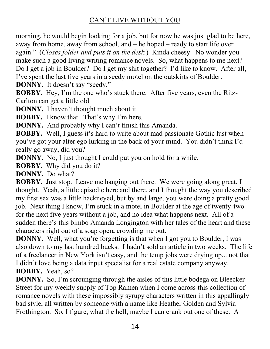morning, he would begin looking for a job, but for now he was just glad to be here, away from home, away from school, and  $-$  he hoped  $-$  ready to start life over again." (Closes folder and puts it on the desk.) Kinda cheesy. No wonder you make such a good living writing romance novels. So, what happens to me next? Do I get a job in Boulder? Do I get my shit together? I'd like to know. After all, I've spent the last five years in a seedy motel on the outskirts of Boulder. **DONNY.** It doesn't say "seedy."

**BOBBY.** Hey, I'm the one who's stuck there. After five years, even the Ritz-Carlton can get a little old.

**DONNY.** I haven't thought much about it.

**BOBBY.** I know that. That's why I'm here.

**DONNY.** And probably why I can't finish this Amanda.

**BOBBY.** Well, I guess it's hard to write about mad passionate Gothic lust when you've got your alter ego lurking in the back of your mind. You didn't think I'd really go away, did you?

**DONNY.** No, I just thought I could put you on hold for a while.

**BOBBY.** Why did you do it?

**DONNY.** Do what?

**BOBBY.** Just stop. Leave me hanging out there. We were going along great, I thought. Yeah, a little episodic here and there, and I thought the way you described my first sex was a little hackneyed, but by and large, you were doing a pretty good job. Next thing I know, I'm stuck in a motel in Boulder at the age of twenty-two for the next five years without a job, and no idea what happens next. All of a sudden there's this bimbo Amanda Longington with her tales of the heart and these characters right out of a soap opera crowding me out.

**DONNY.** Well, what you're forgetting is that when I got you to Boulder, I was also down to my last hundred bucks. I hadn't sold an article in two weeks. The life of a freelancer in New York isn't easy, and the temp jobs were drying up... not that I didn't love being a data input specialist for a real estate company anyway. **BOBBY.** Yeah, so?

**DONNY.** So, I'm scrounging through the aisles of this little bodega on Bleecker Street for my weekly supply of Top Ramen when I come across this collection of romance novels with these impossibly syrupy characters written in this appallingly bad style, all written by someone with a name like Heather Golden and Sylvia Frothington. So, I figure, what the hell, maybe I can crank out one of these. A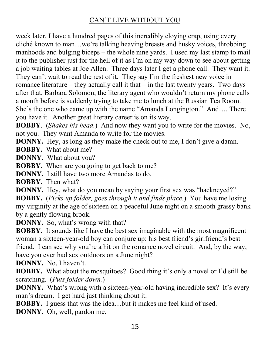week later, I have a hundred pages of this incredibly cloying crap, using every cliché known to man...we're talking heaving breasts and husky voices, throbbing manhoods and bulging biceps  $-$  the whole nine yards. I used my last stamp to mail it to the publisher just for the hell of it as I'm on my way down to see about getting a job waiting tables at Joe Allen. Three days later I get a phone call. They want it. They can't wait to read the rest of it. They say I'm the freshest new voice in romance literature  $-$  they actually call it that  $-$  in the last twenty years. Two days after that, Barbara Solomon, the literary agent who wouldn't return my phone calls a month before is suddenly trying to take me to lunch at the Russian Tea Room. She's the one who came up with the name "Amanda Longington." And.... There you have it. Another great literary career is on its way.

**BOBBY**. (*Shakes his head.*) And now they want you to write for the movies. No, not you. They want Amanda to write for the movies.

**DONNY.** Hey, as long as they make the check out to me, I don't give a damn.

**BOBBY.** What about me?

**DONNY.** What about you?

**BOBBY.** When are you going to get back to me?

**DONNY.** I still have two more Amandas to do.

**BOBBY.** Then what?

**DONNY.** Hey, what do you mean by saying your first sex was "hackneyed?" **BOBBY.** (*Picks up folder, goes through it and finds place.*) You have me losing my virginity at the age of sixteen on a peaceful June night on a smooth grassy bank by a gently flowing brook.

**DONNY.** So, what's wrong with that?

**BOBBY.** It sounds like I have the best sex imaginable with the most magnificent woman a sixteen-year-old boy can conjure up: his best friend's girlfriend's best friend. I can see why you're a hit on the romance novel circuit. And, by the way, have you ever had sex outdoors on a June night?

**DONNY.** No, I haven't.

**BOBBY.** What about the mosquitoes? Good thing it's only a novel or I'd still be scratching. (*Puts folder down.*)

**DONNY.** What's wrong with a sixteen-year-old having incredible sex? It's every man's dream. I get hard just thinking about it.

**BOBBY.** I guess that was the idea...but it makes me feel kind of used.

**DONNY.** Oh, well, pardon me.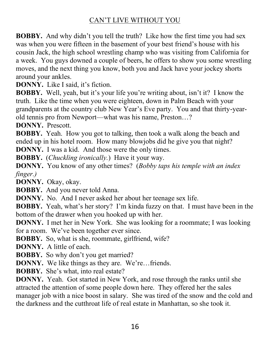**BOBBY.** And why didn't you tell the truth? Like how the first time you had sex was when you were fifteen in the basement of your best friend's house with his cousin Jack, the high school wrestling champ who was visiting from California for a week. You guys downed a couple of beers, he offers to show you some wrestling moves, and the next thing you know, both you and Jack have your jockey shorts around your ankles.

**DONNY.** Like I said, it's fiction.

**BOBBY.** Well, yeah, but it's your life you're writing about, isn't it? I know the truth. Like the time when you were eighteen, down in Palm Beach with your grandparents at the country club New Year's Eve party. You and that thirty-yearold tennis pro from Newport—what was his name, Preston...?

**DONNY.** Prescott.

**BOBBY.** Yeah. How you got to talking, then took a walk along the beach and ended up in his hotel room. How many blowjobs did he give you that night?

**DONNY.** I was a kid. And those were the only times.

**BOBBY.** (*Chuckling ironically.*) Have it your way.

**DONNY.** You know of any other times? (*Bobby taps his temple with an index finger.)*

**DONNY.** Okay, okay.

**BOBBY.** And you never told Anna.

**DONNY.** No. And I never asked her about her teenage sex life.

**BOBBY.** Yeah, what's her story? I'm kinda fuzzy on that. I must have been in the bottom of the drawer when you hooked up with her.

**DONNY.** I met her in New York. She was looking for a roommate; I was looking for a room. We've been together ever since.

**BOBBY.** So, what is she, roommate, girlfriend, wife?

**DONNY.** A little of each.

**BOBBY.** So why don't you get married?

**DONNY.** We like things as they are. We're...friends.

**BOBBY.** She's what, into real estate?

**DONNY.** Yeah. Got started in New York, and rose through the ranks until she attracted the attention of some people down here. They offered her the sales manager job with a nice boost in salary. She was tired of the snow and the cold and the darkness and the cutthroat life of real estate in Manhattan, so she took it.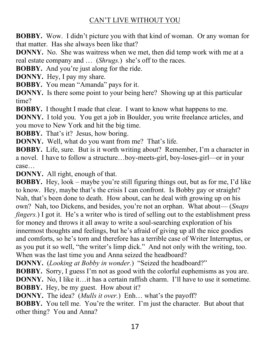**BOBBY.** Wow. I didn't picture you with that kind of woman. Or any woman for that matter. Has she always been like that?

**DONNY.** No. She was waitress when we met, then did temp work with me at a real estate company and ... (*Shrugs*.) she's off to the races.

**BOBBY.** And you're just along for the ride.

**DONNY.** Hey, I pay my share.

**BOBBY.** You mean "Amanda" pays for it.

**DONNY.** Is there some point to your being here? Showing up at this particular time?

**BOBBY.** I thought I made that clear. I want to know what happens to me.

**DONNY.** I told you. You get a job in Boulder, you write freelance articles, and you move to New York and hit the big time.

**BOBBY.** That's it? Jesus, how boring.

**DONNY.** Well, what do you want from me? That's life.

BOBBY. Life, sure. But is it worth writing about? Remember, I'm a character in a novel. I have to follow a structure...boy-meets-girl, boy-loses-girl—or in your  $case...$ 

**DONNY.** All right, enough of that.

**BOBBY.** Hey, look – maybe you're still figuring things out, but as for me, I'd like to know. Hey, maybe that's the crisis I can confront. Is Bobby gay or straight? Nah, that's been done to death. How about, can he deal with growing up on his own? Nah, too Dickens, and besides, you're not an orphan. What about— (*Snaps fingers.*) I got it. He's a writer who is tired of selling out to the establishment press for money and throws it all away to write a soul-searching exploration of his innermost thoughts and feelings, but he's afraid of giving up all the nice goodies and comforts, so he's torn and therefore has a terrible case of Writer Interruptus, or as you put it so well, "the writer's limp dick." And not only with the writing, too. When was the last time you and Anna seized the headboard?

**DONNY.** (*Looking at Bobby in wonder.*) "Seized the headboard?"

**BOBBY.** Sorry, I guess I'm not as good with the colorful euphemisms as you are. **DONNY.** No, I like it... it has a certain raffish charm. I'll have to use it sometime.

**BOBBY.** Hey, be my guest. How about it?

**DONNY.** The idea? (*Mulls it over.*) Enh... what's the payoff?

**BOBBY.** You tell me. You're the writer. I'm just the character. But about that other thing? You and Anna?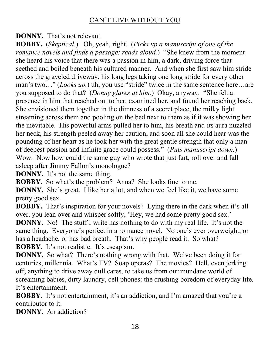**DONNY.** That's not relevant.

**BOBBY.** (*Skeptical.*) Oh, yeah, right. (*Picks up a manuscript of one of the romance novels and finds a passage; reads aloud.*) "She knew from the moment she heard his voice that there was a passion in him, a dark, driving force that seethed and boiled beneath his cultured manner. And when she first saw him stride across the graveled driveway, his long legs taking one long stride for every other man's two..." (*Looks up.*) uh, you use "stride" twice in the same sentence here...are you supposed to do that? (*Donny glares at him*.) Okay, anyway. "She felt a presence in him that reached out to her, examined her, and found her reaching back. She envisioned them together in the dimness of a secret place, the milky light streaming across them and pooling on the bed next to them as if it was showing her the inevitable. His powerful arms pulled her to him, his breath and its aura nuzzled her neck, his strength peeled away her caution, and soon all she could hear was the pounding of her heart as he took her with the great gentle strength that only a man of deepest passion and infinite grace could possess." (*Puts manuscript down.*) Wow. Now how could the same guy who wrote that just fart, roll over and fall asleep after Jimmy Fallon's monologue?

**DONNY.** It's not the same thing.

**BOBBY.** So what's the problem? Anna? She looks fine to me.

**DONNY.** She's great. I like her a lot, and when we feel like it, we have some pretty good sex.

**BOBBY.** That's inspiration for your novels? Lying there in the dark when it's all over, you lean over and whisper softly, 'Hey, we had some pretty good sex.' **DONNY.** No! The stuff I write has nothing to do with my real life. It's not the same thing. Everyone's perfect in a romance novel. No one's ever overweight, or has a headache, or has bad breath. That's why people read it. So what? **BOBBY.** It's not realistic. It's escapism.

**DONNY.** So what? There's nothing wrong with that. We've been doing it for centuries, millennia. What's TV? Soap operas? The movies? Hell, even jerking off; anything to drive away dull cares, to take us from our mundane world of screaming babies, dirty laundry, cell phones: the crushing boredom of everyday life. It's entertainment.

**BOBBY.** It's not entertainment, it's an addiction, and I'm amazed that you're a contributor to it.

**DONNY.** An addiction?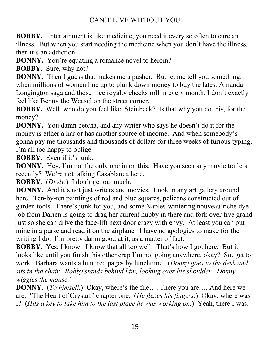**BOBBY.** Entertainment is like medicine; you need it every so often to cure an illness. But when you start needing the medicine when you don't have the illness, then it's an addiction.

**DONNY.** You're equating a romance novel to heroin?

**BOBBY.** Sure, why not?

**DONNY.** Then I guess that makes me a pusher. But let me tell you something: when millions of women line up to plunk down money to buy the latest Amanda Longington saga and those nice royalty checks roll in every month, I don't exactly feel like Benny the Weasel on the street corner.

**BOBBY.** Well, who do you feel like, Steinbeck? Is that why you do this, for the money?

**DONNY.** You damn betcha, and any writer who says he doesn't do it for the money is either a liar or has another source of income. And when somebody's gonna pay me thousands and thousands of dollars for three weeks of furious typing, I'm all too happy to oblige.

**BOBBY.** Even if it's junk.

**DONNY.** Hey, I'm not the only one in on this. Have you seen any movie trailers recently? We're not talking Casablanca here.

**BOBBY**. (*Dryly*.) I don't get out much.

**DONNY.** And it's not just writers and movies. Look in any art gallery around here. Ten-by-ten paintings of red and blue squares, pelicans constructed out of garden tools. There's junk for you, and some Naples-wintering nouveau riche dye job from Darien is going to drag her current hubby in there and fork over five grand just so she can drive the face-lift next door crazy with envy. At least you can put mine in a purse and read it on the airplane. I have no apologies to make for the writing I do. I'm pretty damn good at it, as a matter of fact.

**BOBBY.** Yes, I know. I know that all too well. That's how I got here. But it looks like until you finish this other crap I'm not going anywhere, okay? So, get to work. Barbara wants a hundred pages by lunchtime. (*Donny goes to the desk and sits in the chair. Bobby stands behind him, looking over his shoulder. Donny wiggles the mouse.*)

**DONNY.** (*To himself.*) Okay, where's the file.... There you are.... And here we are. 'The Heart of Crystal,' chapter one. (*He flexes his fingers.*) Okay, where was I? (*Hits a key to take him to the last place he was working on.*) Yeah, there I was.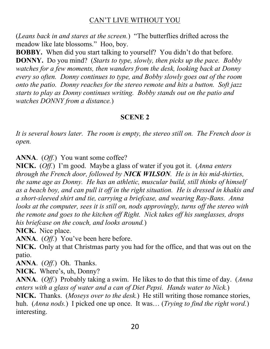(*Leans back in and stares at the screen.*) "The butterflies drifted across the meadow like late blossoms." Hoo, boy.

BOBBY. When did you start talking to yourself? You didn't do that before. **DONNY.** Do you mind? (*Starts to type, slowly, then picks up the pace. Bobby watches for a few moments, then wanders from the desk, looking back at Donny every so often. Donny continues to type, and Bobby slowly goes out of the room onto the patio. Donny reaches for the stereo remote and hits a button. Soft jazz starts to play as Donny continues writing. Bobby stands out on the patio and watches DONNY from a distance.*)

#### **SCENE 2**

*It is several hours later. The room is empty, the stereo still on. The French door is open.*

**ANNA**. (*Off.*) You want some coffee?

**NICK.** (*Off.*) I'm good. Maybe a glass of water if you got it. (*Anna enters through the French door, followed by NICK WILSON. He is in his mid-thirties, the same age as Donny. He has an athletic, muscular build, still thinks of himself as a beach boy, and can pull it off in the right situation. He is dressed in khakis and a short-sleeved shirt and tie, carrying a briefcase, and wearing Ray-Bans. Anna looks at the computer, sees it is still on, nods approvingly, turns off the stereo with the remote and goes to the kitchen off Right. Nick takes off his sunglasses, drops his briefcase on the couch, and looks around.*)

**NICK.** Nice place.

**ANNA**. (*Off.*) You've been here before.

**NICK.** Only at that Christmas party you had for the office, and that was out on the patio.

**ANNA**. (*Off.*) Oh. Thanks.

**NICK.** Where's, uh, Donny?

**ANNA**. (*Off.*) Probably taking a swim. He likes to do that this time of day. (*Anna enters with a glass of water and a can of Diet Pepsi. Hands water to Nick.*)

**NICK.** Thanks. (*Moseys over to the desk.*) He still writing those romance stories, huh. (*Anna nods.*) I picked one up once. It was... (*Trying to find the right word.*) interesting.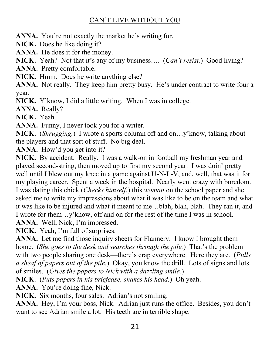**ANNA.** You're not exactly the market he's writing for.

**NICK.** Does he like doing it?

**ANNA.** He does it for the money.

**NICK.** Yeah? Not that it's any of my business.... (*Can't resist.*) Good living?

**ANNA**. Pretty comfortable.

**NICK.** Hmm. Does he write anything else?

**ANNA.** Not really. They keep him pretty busy. He's under contract to write four a year.

**NICK.** Y'know, I did a little writing. When I was in college.

**ANNA.** Really?

**NICK.** Yeah.

**ANNA.** Funny, I never took you for a writer.

**NICK.** (*Shrugging*.) I wrote a sports column off and on...y' know, talking about the players and that sort of stuff. No big deal.

ANNA. How'd you get into it?

**NICK.** By accident. Really. I was a walk-on in football my freshman year and played second-string, then moved up to first my second year. I was doin' pretty well until I blew out my knee in a game against U-N-L-V, and, well, that was it for my playing career. Spent a week in the hospital. Nearly went crazy with boredom. I was dating this chick (*Checks himself.*) this *woman* on the school paper and she asked me to write my impressions about what it was like to be on the team and what it was like to be injured and what it meant to me...blah, blah, blah. They ran it, and I wrote for them...y' know, off and on for the rest of the time I was in school. ANNA. Well, Nick, I'm impressed.

**NICK.** Yeah, I'm full of surprises.

**ANNA.** Let me find those inquiry sheets for Flannery. I know I brought them home. (*She goes to the desk and searches through the pile*.) That's the problem with two people sharing one desk—there's crap everywhere. Here they are. *(Pulls a sheaf of papers out of the pile.*) Okay, you know the drill. Lots of signs and lots of smiles. (*Gives the papers to Nick with a dazzling smile.*)

**NICK**. (*Puts papers in his briefcase, shakes his head.*) Oh yeah.

ANNA. You're doing fine, Nick.

**NICK.** Six months, four sales. Adrian's not smiling.

ANNA. Hey, I'm your boss, Nick. Adrian just runs the office. Besides, you don't want to see Adrian smile a lot. His teeth are in terrible shape.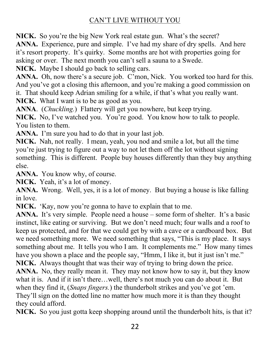**NICK.** So you're the big New York real estate gun. What's the secret?

ANNA. Experience, pure and simple. I've had my share of dry spells. And here it's resort property. It's quirky. Some months are hot with properties going for asking or over. The next month you can't sell a sauna to a Swede.

**NICK.** Maybe I should go back to selling cars.

**ANNA.** Oh, now there's a secure job. C'mon, Nick. You worked too hard for this. And you've got a closing this afternoon, and you're making a good commission on it. That should keep Adrian smiling for a while, if that's what you really want.

**NICK.** What I want is to be as good as you.

**ANNA**. (*Chuckling.*) Flattery will get you nowhere, but keep trying.

**NICK.** No, I've watched you. You're good. You know how to talk to people. You listen to them.

ANNA. I'm sure you had to do that in your last job.

**NICK.** Nah, not really. I mean, yeah, you nod and smile a lot, but all the time you're just trying to figure out a way to not let them off the lot without signing something. This is different. People buy houses differently than they buy anything else.

**ANNA.** You know why, of course.

**NICK.** Yeah, it's a lot of money.

**ANNA.** Wrong. Well, yes, it is a lot of money. But buying a house is like falling in love.

**NICK.** 'Kay, now you're gonna to have to explain that to me.

**ANNA.** It's very simple. People need a house – some form of shelter. It's a basic instinct, like eating or surviving. But we don't need much; four walls and a roof to keep us protected, and for that we could get by with a cave or a cardboard box. But we need something more. We need something that says, "This is my place. It says something about me. It tells you who I am. It complements me." How many times have you shown a place and the people say, "Hmm, I like it, but it just isn't me." **NICK.** Always thought that was their way of trying to bring down the price. **ANNA.** No, they really mean it. They may not know how to say it, but they know what it is. And if it isn't there...well, there's not much you can do about it. But when they find it, (*Snaps fingers*.) the thunderbolt strikes and you've got 'em. They'll sign on the dotted line no matter how much more it is than they thought

they could afford.

**NICK.** So you just gotta keep shopping around until the thunderbolt hits, is that it?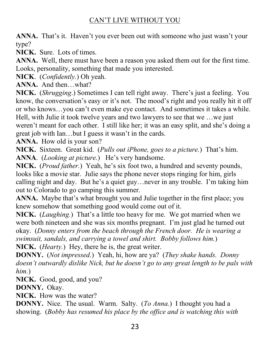**ANNA.** That's it. Haven't you ever been out with someone who just wasn't your type?

**NICK.** Sure. Lots of times.

**ANNA.** Well, there must have been a reason you asked them out for the first time. Looks, personality, something that made you interested.

**NICK**. (*Confidently.*) Oh yeah.

ANNA. And then...what?

**NICK.** (*Shrugging*.) Sometimes I can tell right away. There's just a feeling. You know, the conversation's easy or it's not. The mood's right and you really hit it off or who knows...you can't even make eye contact. And sometimes it takes a while. Hell, with Julie it took twelve years and two lawyers to see that we ...we just weren't meant for each other. I still like her; it was an easy split, and she's doing a great job with Ian...but I guess it wasn't in the cards.

**ANNA.** How old is your son?

**NICK.** Sixteen. Great kid. (*Pulls out iPhone, goes to a picture.*) That's him. ANNA. (*Looking at picture*.) He's very handsome.

**NICK.** (*Proud father.*) Yeah, he's six foot two, a hundred and seventy pounds, looks like a movie star. Julie says the phone never stops ringing for him, girls calling night and day. But he's a quiet guy... never in any trouble. I'm taking him out to Colorado to go camping this summer.

**ANNA.** Maybe that's what brought you and Julie together in the first place; you knew somehow that something good would come out of it.

**NICK.** (*Laughing.*) That's a little too heavy for me. We got married when we were both nineteen and she was six months pregnant. I'm just glad he turned out okay. (*Donny enters from the beach through the French door. He is wearing a swimsuit, sandals, and carrying a towel and shirt. Bobby follows him.*) **NICK.** (*Hearty.*) Hey, there he is, the great writer.

**DONNY.** (*Not impressed.*) Yeah, hi, how are ya? (*They shake hands. Donny doesn't outwardly dislike Nick, but he doesn't go to any great length to be pals with him.*)

**NICK.** Good, good, and you?

**DONNY.** Okay.

**NICK.** How was the water?

**DONNY.** Nice. The usual. Warm. Salty. (*To Anna.*) I thought you had a showing. (*Bobby has resumed his place by the office and is watching this with*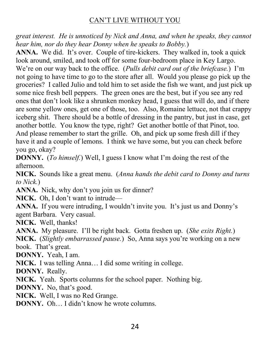*great interest. He is unnoticed by Nick and Anna, and when he speaks, they cannot hear him, nor do they hear Donny when he speaks to Bobby.*)

ANNA. We did. It's over. Couple of tire-kickers. They walked in, took a quick look around, smiled, and took off for some four-bedroom place in Key Largo. We're on our way back to the office. (Pulls debit card out of the briefcase.) I'm not going to have time to go to the store after all. Would you please go pick up the groceries? I called Julio and told him to set aside the fish we want, and just pick up some nice fresh bell peppers. The green ones are the best, but if you see any red ones that don't look like a shrunken monkey head, I guess that will do, and if there are some yellow ones, get one of those, too. Also, Romaine lettuce, not that crappy iceberg shit. There should be a bottle of dressing in the pantry, but just in case, get another bottle. You know the type, right? Get another bottle of that Pinot, too. And please remember to start the grille. Oh, and pick up some fresh dill if they have it and a couple of lemons. I think we have some, but you can check before you go, okay?

**DONNY.** (*To himself.*) Well, I guess I know what I'm doing the rest of the afternoon.

**NICK.** Sounds like a great menu. (*Anna hands the debit card to Donny and turns to Nick.*)

**ANNA.** Nick, why don't you join us for dinner?

NICK. Oh, I don't want to intrude—

**ANNA.** If you were intruding, I wouldn't invite you. It's just us and Donny's agent Barbara. Very casual.

**NICK.** Well, thanks!

**ANNA.** My pleasure. I'll be right back. Gotta freshen up. (She exits Right.)

**NICK.** (*Slightly embarrassed pause.*) So, Anna says you're working on a new book. That's great.

**DONNY.** Yeah, I am.

**NICK.** I was telling Anna... I did some writing in college.

**DONNY.** Really.

**NICK.** Yeah. Sports columns for the school paper. Nothing big.

**DONNY.** No, that's good.

**NICK.** Well, I was no Red Grange.

**DONNY.** Oh... I didn't know he wrote columns.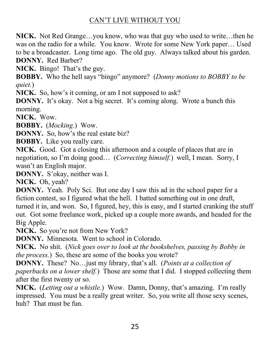**NICK.** Not Red Grange...you know, who was that guy who used to write...then he was on the radio for a while. You know. Wrote for some New York paper... Used to be a broadcaster. Long time ago. The old guy. Always talked about his garden. **DONNY.** Red Barber?

**NICK.** Bingo! That's the guy.

**BOBBY.** Who the hell says "bingo" anymore? (*Donny motions to BOBBY to be quiet.*)

NICK. So, how's it coming, or am I not supposed to ask?

**DONNY.** It's okay. Not a big secret. It's coming along. Wrote a bunch this morning.

**NICK.** Wow.

**BOBBY.** (*Mocking.*) Wow.

**DONNY.** So, how's the real estate biz?

**BOBBY.** Like you really care.

**NICK.** Good. Got a closing this afternoon and a couple of places that are in negotiation, so I'm doing good... (Correcting himself.) well, I mean. Sorry, I wasn't an English major.

**DONNY.** S'okay, neither was I.

**NICK.** Oh, yeah?

**DONNY.** Yeah. Poly Sci. But one day I saw this ad in the school paper for a fiction contest, so I figured what the hell. I batted something out in one draft, turned it in, and won. So, I figured, hey, this is easy, and I started cranking the stuff out. Got some freelance work, picked up a couple more awards, and headed for the Big Apple.

**NICK.** So you're not from New York?

**DONNY.** Minnesota. Went to school in Colorado.

**NICK.** No shit. (*Nick goes over to look at the bookshelves, passing by Bobby in the process.*) So, these are some of the books you wrote?

**DONNY.** These? No... just my library, that's all. (*Points at a collection of paperbacks on a lower shelf.*) Those are some that I did. I stopped collecting them after the first twenty or so.

**NICK.** (*Letting out a whistle.*) Wow. Damn, Donny, that's amazing. I'm really impressed. You must be a really great writer. So, you write all those sexy scenes, huh? That must be fun.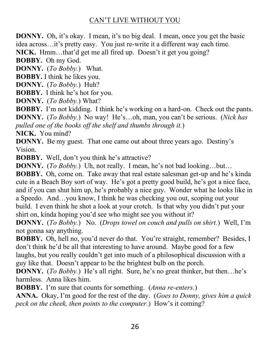**DONNY.** Oh, it's okay. I mean, it's no big deal. I mean, once you get the basic idea across...it's pretty easy. You just re-write it a different way each time.

**NICK.** Hmm...that'd get me all fired up. Doesn't it get you going?

**BOBBY.** Oh my God.

**DONNY.** (*To Bobby.*) What.

**BOBBY.** I think he likes you.

**DONNY.** (*To Bobby.*) Huh?

**BOBBY.** I think he's hot for you.

**DONNY.** (*To Bobby.*) What?

**BOBBY.** I'm not kidding. I think he's working on a hard-on. Check out the pants. **DONNY.** (*To Bobby.*) No way! He's...oh, man, you can't be serious. (*Nick has pulled one of the books off the shelf and thumbs through it.*)

**NICK.** You mind?

**DONNY.** Be my guest. That one came out about three years ago. Destiny's Vision.

**BOBBY.** Well, don't you think he's attractive?

**DONNY.** (*To Bobby.*) Uh, not really. I mean, he's not bad looking...but...

**BOBBY.** Oh, come on. Take away that real estate salesman get-up and he's kinda cute in a Beach Boy sort of way. He's got a pretty good build, he's got a nice face, and if you can shut him up, he's probably a nice guy. Wonder what he looks like in a Speedo. And...you know, I think he was checking you out, scoping out your build. I even think he shot a look at your crotch. Is that why you didn't put your shirt on, kinda hoping you'd see who might see you without it?

**DONNY.** (*To Bobby.*) No. (*Drops towel on couch and pulls on shirt.*) Well, I'm not gonna say anything.

**BOBBY.** Oh, hell no, you'd never do that. You're straight, remember? Besides, I don't think he'd be all that interesting to have around. Maybe good for a few laughs, but you really couldn't get into much of a philosophical discussion with a guy like that. Doesn't appear to be the brightest bulb on the porch.

**DONNY.** (*To Bobby.*) He's all right. Sure, he's no great thinker, but then...he's harmless. Anna likes him.

**BOBBY.** I'm sure that counts for something. *(Anna re-enters.)* 

**ANNA.** Okay, I'm good for the rest of the day. (*Goes to Donny, gives him a quick peck on the cheek, then points to the computer.*) How's it coming?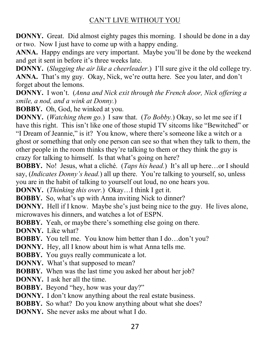**DONNY.** Great. Did almost eighty pages this morning. I should be done in a day or two. Now I just have to come up with a happy ending.

**ANNA.** Happy endings are very important. Maybe you'll be done by the weekend and get it sent in before it's three weeks late.

**DONNY.** (*Slugging the air like a cheerleader*.) I'll sure give it the old college try. **ANNA.** That's my guy. Okay, Nick, we're outta here. See you later, and don't forget about the lemons.

**DONNY.** I won't. (Anna and Nick exit through the French door, Nick offering a *smile, a nod, and a wink at Donny.*)

**BOBBY.** Oh, God, he winked at you.

**DONNY.** (*Watching them go.*) I saw that. (*To Bobby.*) Okay, so let me see if I have this right. This isn't like one of those stupid TV sitcoms like "Bewitched" or "I Dream of Jeannie," is it? You know, where there's someone like a witch or a ghost or something that only one person can see so that when they talk to them, the other people in the room thinks they're talking to them or they think the guy is erazy for talking to himself. Is that what's going on here?

**BOBBY.** No! Jesus, what a cliché. (*Taps his head.*) It's all up here...or I should say, (*Indicates Donny's head.*) all up there. You're talking to yourself, so, unless you are in the habit of talking to yourself out loud, no one hears you.

**DONNY.** (*Thinking this over.*) Okay...I think I get it.

**BOBBY.** So, what's up with Anna inviting Nick to dinner?

**DONNY.** Hell if I know. Maybe she's just being nice to the guy. He lives alone, microwaves his dinners, and watches a lot of ESPN.

**BOBBY.** Yeah, or maybe there's something else going on there.

**DONNY.** Like what?

- **BOBBY.** You tell me. You know him better than I do...don't you?
- **DONNY.** Hey, all I know about him is what Anna tells me.
- **BOBBY.** You guys really communicate a lot.
- **DONNY.** What's that supposed to mean?
- **BOBBY.** When was the last time you asked her about her job?
- **DONNY.** I ask her all the time.
- **BOBBY.** Beyond "hey, how was your day?"
- **DONNY.** I don't know anything about the real estate business.
- **BOBBY.** So what? Do you know anything about what she does?
- **DONNY.** She never asks me about what I do.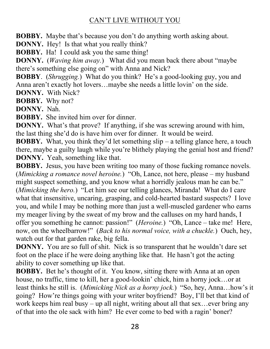**BOBBY.** Maybe that's because you don't do anything worth asking about.

**DONNY.** Hey! Is that what you really think?

**BOBBY.** Ha! I could ask you the same thing!

**DONNY.** (*Waving him away.*) What did you mean back there about "maybe" there's something else going on" with Anna and Nick?

**BOBBY**. *(Shrugging.)* What do you think? He's a good-looking guy, you and Anna aren't exactly hot lovers...maybe she needs a little lovin' on the side.

**DONNY.** With Nick?

**BOBBY.** Why not?

**DONNY.** Nah.

**BOBBY.** She invited him over for dinner.

**DONNY.** What's that prove? If anything, if she was screwing around with him, the last thing she'd do is have him over for dinner. It would be weird.

**BOBBY.** What, you think they'd let something  $\sin \theta - a$  telling glance here, a touch there, maybe a guilty laugh while you're blithely playing the genial host and friend? **DONNY.** Yeah, something like that.

**BOBBY.** Jesus, you have been writing too many of those fucking romance novels. (*Mimicking a romance novel heroine.*) "Oh, Lance, not here, please – my husband might suspect something, and you know what a horridly jealous man he can be." (Mimicking the hero.) "Let him see our telling glances, Miranda! What do I care what that insensitive, uncaring, grasping, and cold-hearted bastard suspects? I love you, and while I may be nothing more than just a well-muscled gardener who earns my meager living by the sweat of my brow and the calluses on my hard hands, I offer you something he cannot: passion!" (*Heroine*.) "Oh, Lance – take me! Here, now, on the wheelbarrow!" (*Back to his normal voice, with a chuckle*.) Ouch, hey, watch out for that garden rake, big fella.

**DONNY.** You are so full of shit. Nick is so transparent that he wouldn't dare set foot on the place if he were doing anything like that. He hasn't got the acting ability to cover something up like that.

BOBBY. Bet he's thought of it. You know, sitting there with Anna at an open house, no traffic, time to kill, her a good-lookin' chick, him a horny jock...or at least thinks he still is. (*Mimicking Nick as a horny jock*.) "So, hey, Anna...how's it going? How're things going with your writer boyfriend? Boy, I'll bet that kind of work keeps him real busy  $-\mu$  all night, writing about all that sex... ever bring any of that into the ole sack with him? He ever come to bed with a ragin' boner?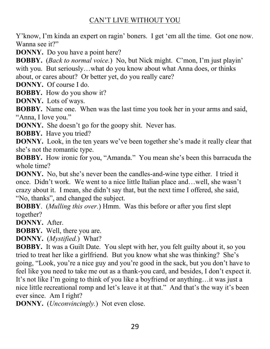Y' know, I'm kinda an expert on ragin' boners. I get 'em all the time. Got one now. Wanna see it?"

**DONNY.** Do you have a point here?

**BOBBY.** (*Back to normal voice.*) No, but Nick might. C'mon, I'm just playin' with you. But seriously...what do you know about what Anna does, or thinks about, or cares about? Or better yet, do you really care?

**DONNY.** Of course I do.

**BOBBY.** How do you show it?

**DONNY.** Lots of ways.

**BOBBY.** Name one. When was the last time you took her in your arms and said, "Anna, I love you."

**DONNY.** She doesn't go for the goopy shit. Never has.

**BOBBY.** Have you tried?

**DONNY.** Look, in the ten years we've been together she's made it really clear that she's not the romantic type.

**BOBBY.** How ironic for you, "Amanda." You mean she's been this barracuda the whole time?

**DONNY.** No, but she's never been the candles-and-wine type either. I tried it once. Didn't work. We went to a nice little Italian place and...well, she wasn't crazy about it. I mean, she didn't say that, but the next time I offered, she said, "No, thanks", and changed the subject.

**BOBBY**. (*Mulling this over.*) Hmm. Was this before or after you first slept together?

**DONNY.** After.

**BOBBY.** Well, there you are.

**DONNY.** (*Mystified.*) What?

**BOBBY.** It was a Guilt Date. You slept with her, you felt guilty about it, so you tried to treat her like a girlfriend. But you know what she was thinking? She's going, "Look, you're a nice guy and you're good in the sack, but you don't have to feel like you need to take me out as a thank-you card, and besides, I don't expect it. It's not like I'm going to think of you like a boyfriend or anything... it was just a nice little recreational romp and let's leave it at that." And that's the way it's been ever since. Am I right?

**DONNY.** (*Unconvincingly.*) Not even close.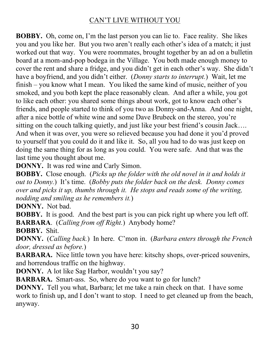**BOBBY.** Oh, come on, I'm the last person you can lie to. Face reality. She likes you and you like her. But you two aren't really each other's idea of a match; it just worked out that way. You were roommates, brought together by an ad on a bulletin board at a mom-and-pop bodega in the Village. You both made enough money to cover the rent and share a fridge, and you didn't get in each other's way. She didn't have a boyfriend, and you didn't either. (*Donny starts to interrupt*.) Wait, let me  $finish - you know what I mean. You liked the same kind of music, neither of you$ smoked, and you both kept the place reasonably clean. And after a while, you got to like each other: you shared some things about work, got to know each other's friends, and people started to think of you two as Donny-and-Anna. And one night, after a nice bottle of white wine and some Dave Brubeck on the stereo, you're sitting on the couch talking quietly, and just like your best friend's cousin Jack.... And when it was over, you were so relieved because you had done it you'd proved to yourself that you could do it and like it. So, all you had to do was just keep on doing the same thing for as long as you could. You were safe. And that was the last time you thought about me.

**DONNY.** It was red wine and Carly Simon.

**BOBBY.** Close enough. (*Picks up the folder with the old novel in it and holds it out to Donny.*) It's time. (*Bobby puts the folder back on the desk. Donny comes over and picks it up, thumbs through it. He stops and reads some of the writing, nodding and smiling as he remembers it.*)

**DONNY.** Not bad.

**BOBBY.** It is good. And the best part is you can pick right up where you left off. **BARBARA**. (*Calling from off Right.*) Anybody home?

**BOBBY.** Shit.

**DONNY.** (*Calling back.*) In here. C'mon in. (*Barbara enters through the French door, dressed as before.*)

**BARBARA.** Nice little town you have here: kitschy shops, over-priced souvenirs, and horrendous traffic on the highway.

DONNY. A lot like Sag Harbor, wouldn't you say?

**BARBARA.** Smart-ass. So, where do you want to go for lunch?

**DONNY.** Tell you what, Barbara; let me take a rain check on that. I have some work to finish up, and I don't want to stop. I need to get cleaned up from the beach, anyway.